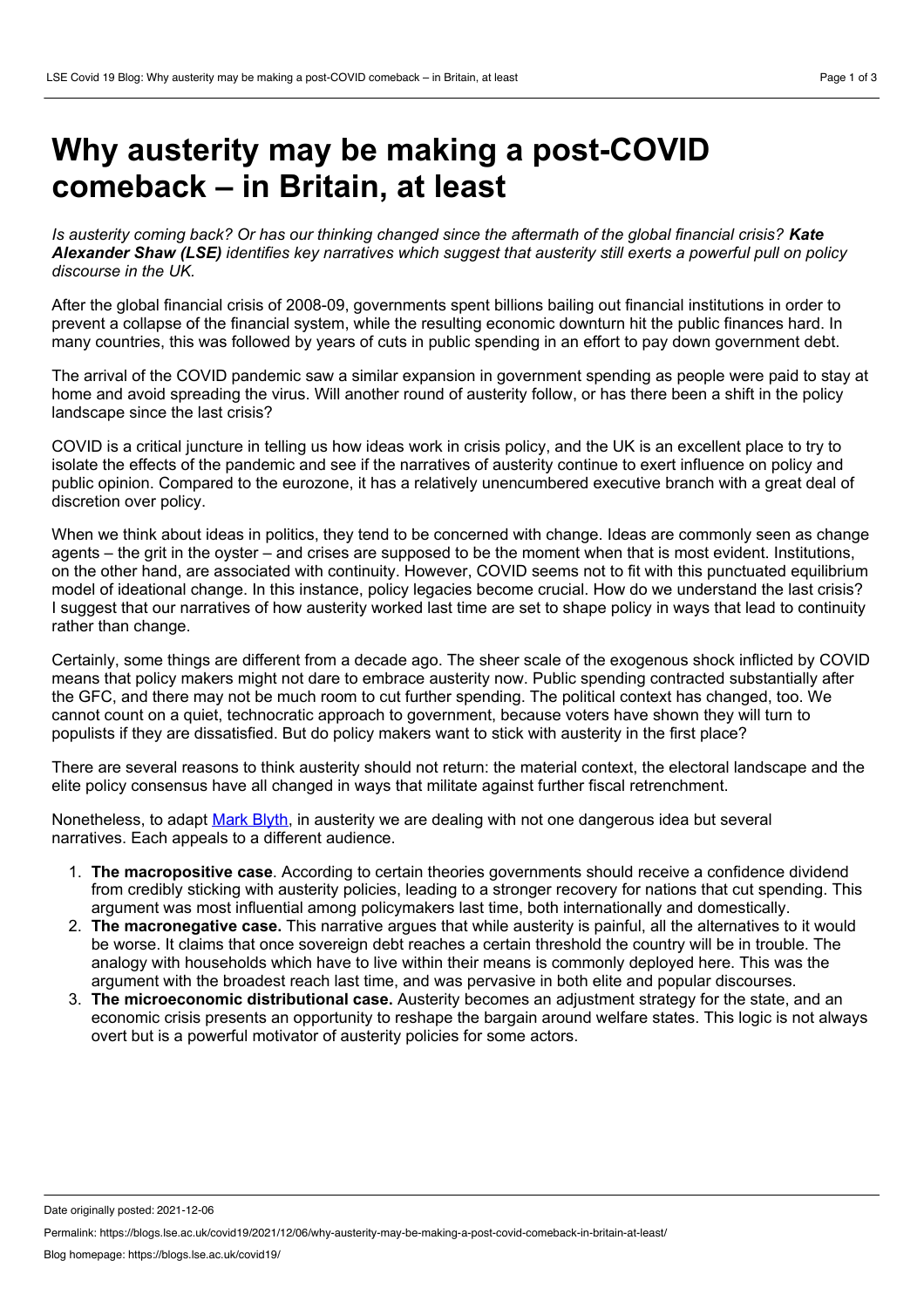## **Why austerity may be making a post-COVID comeback – in Britain, at least**

Is austerity coming back? Or has our thinking changed since the aftermath of the global financial crisis? Kate Alexander Shaw (LSE) identifies key narratives which suggest that austerity still exerts a powerful pull on policy *discourse in the UK.*

After the global financial crisis of 2008-09, governments spent billions bailing out financial institutions in order to prevent a collapse of the financial system, while the resulting economic downturn hit the public finances hard. In many countries, this was followed by years of cuts in public spending in an effort to pay down government debt.

The arrival of the COVID pandemic saw a similar expansion in government spending as people were paid to stay at home and avoid spreading the virus. Will another round of austerity follow, or has there been a shift in the policy landscape since the last crisis?

COVID is a critical juncture in telling us how ideas work in crisis policy, and the UK is an excellent place to try to isolate the effects of the pandemic and see if the narratives of austerity continue to exert influence on policy and public opinion. Compared to the eurozone, it has a relatively unencumbered executive branch with a great deal of discretion over policy.

When we think about ideas in politics, they tend to be concerned with change. Ideas are commonly seen as change agents – the grit in the oyster – and crises are supposed to be the moment when that is most evident. Institutions, on the other hand, are associated with continuity. However, COVID seems not to fit with this punctuated equilibrium model of ideational change. In this instance, policy legacies become crucial. How do we understand the last crisis? I suggest that our narratives of how austerity worked last time are set to shape policy in ways that lead to continuity rather than change.

Certainly, some things are different from a decade ago. The sheer scale of the exogenous shock inflicted by COVID means that policy makers might not dare to embrace austerity now. Public spending contracted substantially after the GFC, and there may not be much room to cut further spending. The political context has changed, too. We cannot count on a quiet, technocratic approach to government, because voters have shown they will turn to populists if they are dissatisfied. But do policy makers want to stick with austerity in the first place?

There are several reasons to think austerity should not return: the material context, the electoral landscape and the elite policy consensus have all changed in ways that militate against further fiscal retrenchment.

Nonetheless, to adapt Mark [Blyth,](https://watson.brown.edu/people/faculty/blyth) in austerity we are dealing with not one dangerous idea but several narratives. Each appeals to a different audience.

- 1. **The macropositive case**. According to certain theories governments should receive a confidence dividend from credibly sticking with austerity policies, leading to a stronger recovery for nations that cut spending. This argument was most influential among policymakers last time, both internationally and domestically.
- 2. **The macronegative case.** This narrative argues that while austerity is painful, all the alternatives to it would be worse. It claims that once sovereign debt reaches a certain threshold the country will be in trouble. The analogy with households which have to live within their means is commonly deployed here. This was the argument with the broadest reach last time, and was pervasive in both elite and popular discourses.
- 3. **The microeconomic distributional case.** Austerity becomes an adjustment strategy for the state, and an economic crisis presents an opportunity to reshape the bargain around welfare states. This logic is not always overt but is a powerful motivator of austerity policies for some actors.

Date originally posted: 2021-12-06

Permalink: https://blogs.lse.ac.uk/covid19/2021/12/06/why-austerity-may-be-making-a-post-covid-comeback-in-britain-at-least/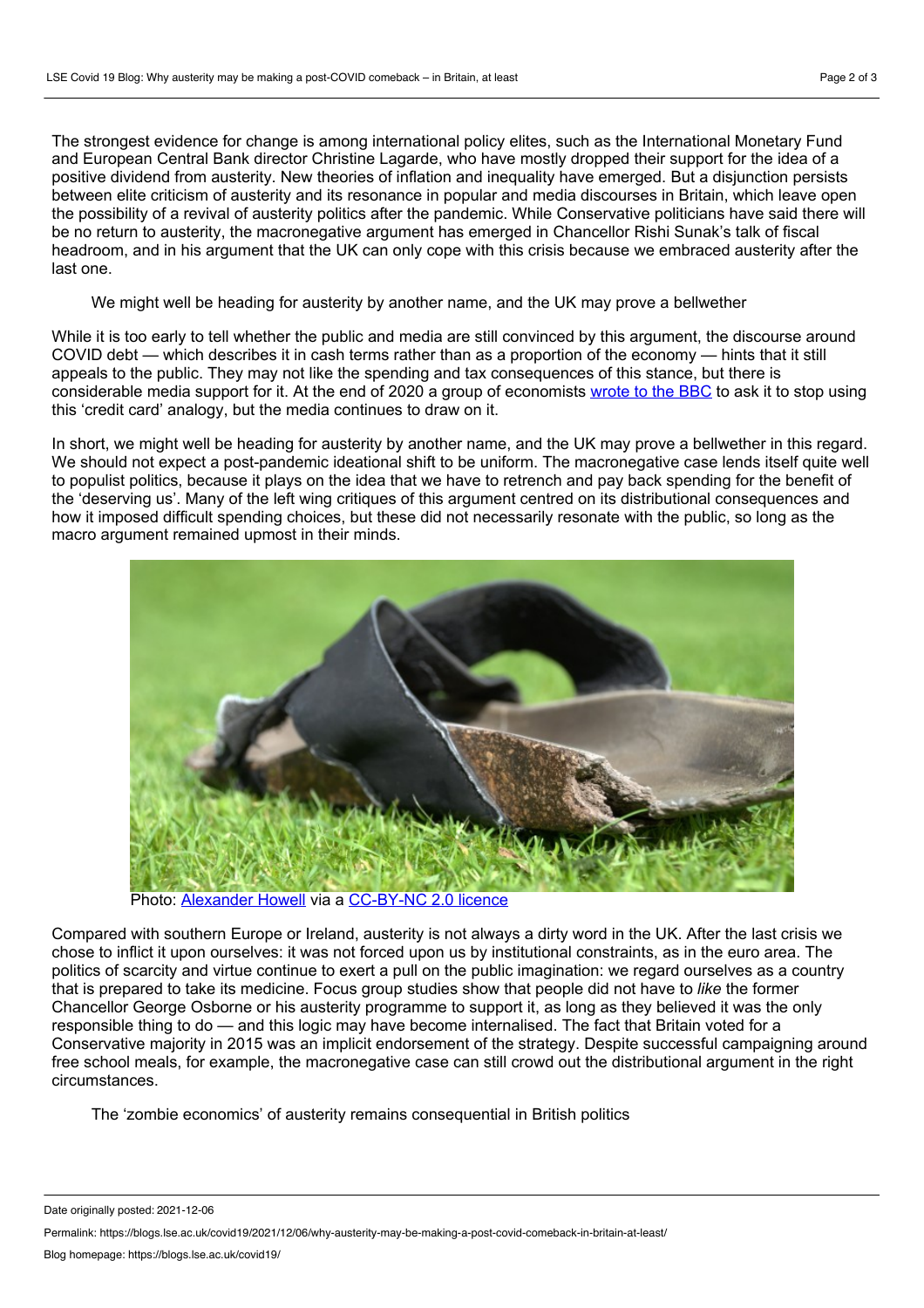The strongest evidence for change is among international policy elites, such as the International Monetary Fund and European Central Bank director Christine Lagarde, who have mostly dropped their support for the idea of a positive dividend from austerity. New theories of inflation and inequality have emerged. But a disjunction persists between elite criticism of austerity and its resonance in popular and media discourses in Britain, which leave open the possibility of a revival of austerity politics after the pandemic. While Conservative politicians have said there will be no return to austerity, the macronegative argument has emerged in Chancellor Rishi Sunak's talk of fiscal headroom, and in his argument that the UK can only cope with this crisis because we embraced austerity after the last one.

We might well be heading for austerity by another name, and the UK may prove a bellwether

While it is too early to tell whether the public and media are still convinced by this argument, the discourse around COVID debt — which describes it in cash terms rather than as a proportion of the economy — hints that it still appeals to the public. They may not like the spending and tax consequences of this stance, but there is considerable media support for it. At the end of 2020 a group of economists [wrote](https://www.ippr.org/blog/economists-urge-bbc-rethink-inappropriate-reporting-uk-economy) to the BBC to ask it to stop using this 'credit card' analogy, but the media continues to draw on it.

In short, we might well be heading for austerity by another name, and the UK may prove a bellwether in this regard. We should not expect a post-pandemic ideational shift to be uniform. The macronegative case lends itself quite well to populist politics, because it plays on the idea that we have to retrench and pay back spending for the benefit of the 'deserving us'. Many of the left wing critiques of this argument centred on its distributional consequences and how it imposed difficult spending choices, but these did not necessarily resonate with the public, so long as the macro argument remained upmost in their minds.



Photo: [Alexander](https://flickr.com/photos/alexanderhowell/2845983071/in/photolist-5kupBD-6zixX-bC4DQV-j5uGWi-8FgWdj-2fenRr-7WvR2-6BDGMe-e3Vob-c6vsiA-2aCmT2E-877EYb-c12UBd-2a6oL-5r1YPx-7tEoit-7B8rvi-7B8vzK-tfa7Ck-b2GdVv-e3Voh-6bHHfS-6pWFvu-29Er67N-6EQoeh-6iUrUF-4oC7Wp-29Er6y9-6xsxrW-LsvGx-s3Veh-7RgXq6-s3WDU-b2Gwf2-AQdmCL-7B8t4K-ASdKQz-7WvSG-b2GrKx-b3THn-68wKNb-s3TX3-b2GAR8-HGrMc9-9vrJP9-9Bz2wX-s3TQp-6HSESQ-6bHN3d-6ucUpk) Howell via a [CC-BY-NC](https://creativecommons.org/licenses/by-nc/2.0/) 2.0 licence

Compared with southern Europe or Ireland, austerity is not always a dirty word in the UK. After the last crisis we chose to inflict it upon ourselves: it was not forced upon us by institutional constraints, as in the euro area. The politics of scarcity and virtue continue to exert a pull on the public imagination: we regard ourselves as a country that is prepared to take its medicine. Focus group studies show that people did not have to *like* the former Chancellor George Osborne or his austerity programme to support it, as long as they believed it was the only responsible thing to do — and this logic may have become internalised. The fact that Britain voted for a Conservative majority in 2015 was an implicit endorsement of the strategy. Despite successful campaigning around free school meals, for example, the macronegative case can still crowd out the distributional argument in the right circumstances.

The 'zombie economics' of austerity remains consequential in British politics

Date originally posted: 2021-12-06

Permalink: https://blogs.lse.ac.uk/covid19/2021/12/06/why-austerity-may-be-making-a-post-covid-comeback-in-britain-at-least/